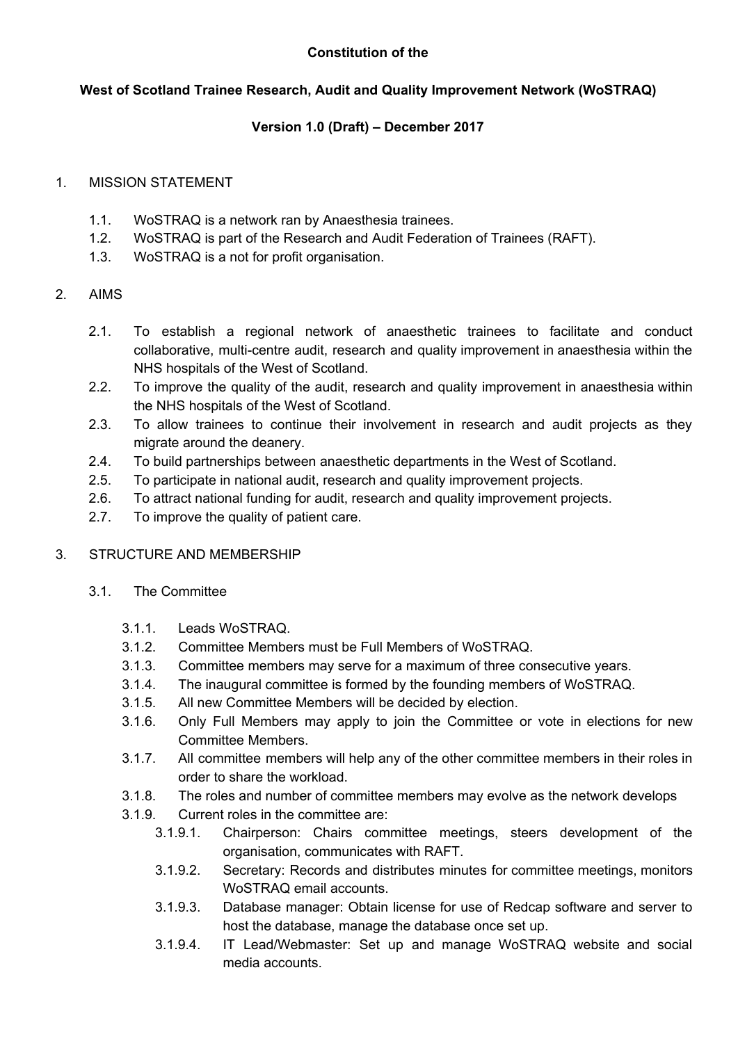#### **Constitution of the**

### **West of Scotland Trainee Research, Audit and Quality Improvement Network (WoSTRAQ)**

### **Version 1.0 (Draft) – December 2017**

#### 1. MISSION STATEMENT

- 1.1. WoSTRAQ is a network ran by Anaesthesia trainees.
- 1.2. WoSTRAQ is part of the Research and Audit Federation of Trainees (RAFT).
- 1.3. WoSTRAQ is a not for profit organisation.
- 2. AIMS
	- 2.1. To establish a regional network of anaesthetic trainees to facilitate and conduct collaborative, multi-centre audit, research and quality improvement in anaesthesia within the NHS hospitals of the West of Scotland.
	- 2.2. To improve the quality of the audit, research and quality improvement in anaesthesia within the NHS hospitals of the West of Scotland.
	- 2.3. To allow trainees to continue their involvement in research and audit projects as they migrate around the deanery.
	- 2.4. To build partnerships between anaesthetic departments in the West of Scotland.
	- 2.5. To participate in national audit, research and quality improvement projects.
	- 2.6. To attract national funding for audit, research and quality improvement projects.
	- 2.7. To improve the quality of patient care.

## 3. STRUCTURE AND MEMBERSHIP

- 3.1. The Committee
	- 3.1.1. Leads WoSTRAQ.
	- 3.1.2. Committee Members must be Full Members of WoSTRAQ.
	- 3.1.3. Committee members may serve for a maximum of three consecutive years.
	- 3.1.4. The inaugural committee is formed by the founding members of WoSTRAQ.
	- 3.1.5. All new Committee Members will be decided by election.
	- 3.1.6. Only Full Members may apply to join the Committee or vote in elections for new Committee Members.
	- 3.1.7. All committee members will help any of the other committee members in their roles in order to share the workload.
	- 3.1.8. The roles and number of committee members may evolve as the network develops
	- 3.1.9. Current roles in the committee are:
		- 3.1.9.1. Chairperson: Chairs committee meetings, steers development of the organisation, communicates with RAFT.
		- 3.1.9.2. Secretary: Records and distributes minutes for committee meetings, monitors WoSTRAQ email accounts.
		- 3.1.9.3. Database manager: Obtain license for use of Redcap software and server to host the database, manage the database once set up.
		- 3.1.9.4. IT Lead/Webmaster: Set up and manage WoSTRAQ website and social media accounts.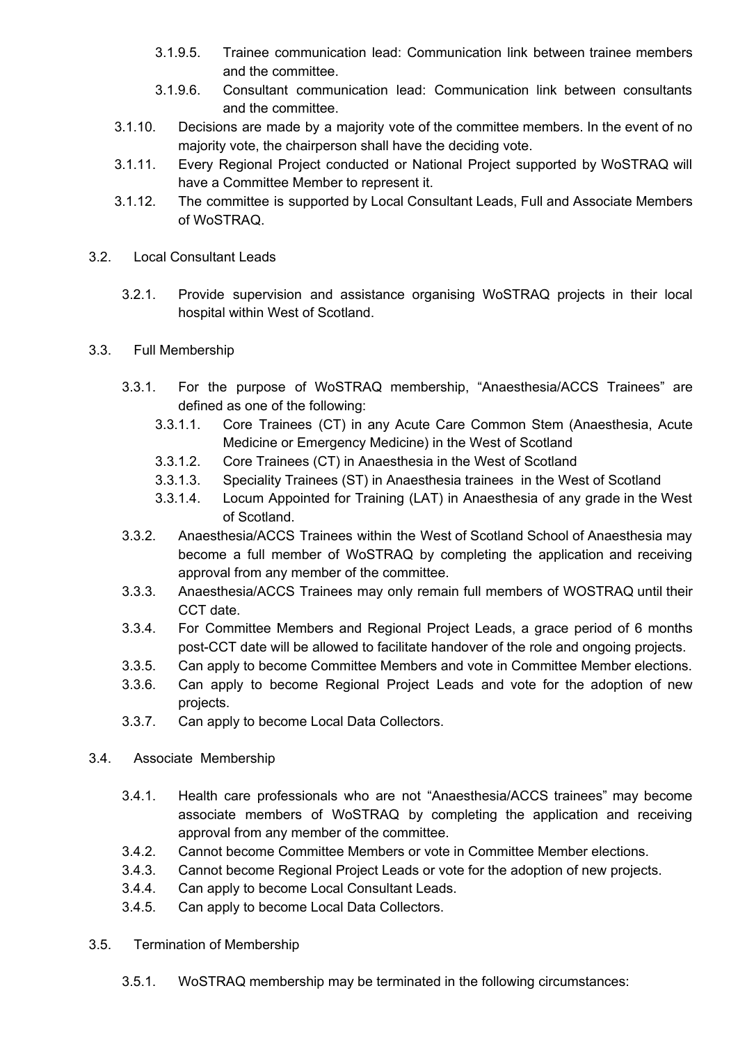- 3.1.9.5. Trainee communication lead: Communication link between trainee members and the committee.
- 3.1.9.6. Consultant communication lead: Communication link between consultants and the committee.
- 3.1.10. Decisions are made by a majority vote of the committee members. In the event of no majority vote, the chairperson shall have the deciding vote.
- 3.1.11. Every Regional Project conducted or National Project supported by WoSTRAQ will have a Committee Member to represent it.
- 3.1.12. The committee is supported by Local Consultant Leads, Full and Associate Members of WoSTRAQ.
- 3.2. Local Consultant Leads
	- 3.2.1. Provide supervision and assistance organising WoSTRAQ projects in their local hospital within West of Scotland.
- 3.3. Full Membership
	- 3.3.1. For the purpose of WoSTRAQ membership, "Anaesthesia/ACCS Trainees" are defined as one of the following:
		- 3.3.1.1. Core Trainees (CT) in any Acute Care Common Stem (Anaesthesia, Acute Medicine or Emergency Medicine) in the West of Scotland
		- 3.3.1.2. Core Trainees (CT) in Anaesthesia in the West of Scotland
		- 3.3.1.3. Speciality Trainees (ST) in Anaesthesia trainees in the West of Scotland
		- 3.3.1.4. Locum Appointed for Training (LAT) in Anaesthesia of any grade in the West of Scotland.
	- 3.3.2. Anaesthesia/ACCS Trainees within the West of Scotland School of Anaesthesia may become a full member of WoSTRAQ by completing the application and receiving approval from any member of the committee.
	- 3.3.3. Anaesthesia/ACCS Trainees may only remain full members of WOSTRAQ until their CCT date.
	- 3.3.4. For Committee Members and Regional Project Leads, a grace period of 6 months post-CCT date will be allowed to facilitate handover of the role and ongoing projects.
	- 3.3.5. Can apply to become Committee Members and vote in Committee Member elections.
	- 3.3.6. Can apply to become Regional Project Leads and vote for the adoption of new projects.
	- 3.3.7. Can apply to become Local Data Collectors.
- 3.4. Associate Membership
	- 3.4.1. Health care professionals who are not "Anaesthesia/ACCS trainees" may become associate members of WoSTRAQ by completing the application and receiving approval from any member of the committee.
	- 3.4.2. Cannot become Committee Members or vote in Committee Member elections.
	- 3.4.3. Cannot become Regional Project Leads or vote for the adoption of new projects.
	- 3.4.4. Can apply to become Local Consultant Leads.
	- 3.4.5. Can apply to become Local Data Collectors.
- 3.5. Termination of Membership
	- 3.5.1. WoSTRAQ membership may be terminated in the following circumstances: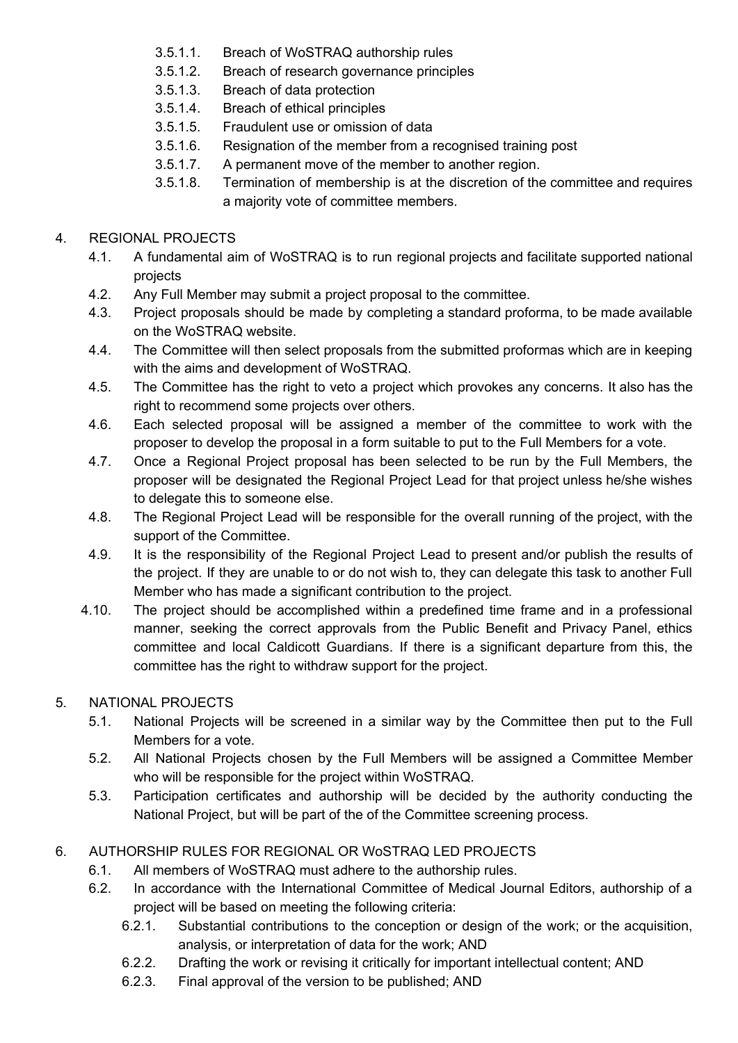- 3.5.1.1. Breach of WoSTRAQ authorship rules
- 3.5.1.2. Breach of research governance principles
- 3.5.1.3. Breach of data protection
- 3.5.1.4. Breach of ethical principles
- 3.5.1.5. Fraudulent use or omission of data
- 3.5.1.6. Resignation of the member from a recognised training post
- 3.5.1.7. A permanent move of the member to another region.
- 3.5.1.8. Termination of membership is at the discretion of the committee and requires a majority vote of committee members.

## 4. REGIONAL PROJECTS

- 4.1. A fundamental aim of WoSTRAQ is to run regional projects and facilitate supported national projects
- 4.2. Any Full Member may submit a project proposal to the committee.
- 4.3. Project proposals should be made by completing a standard proforma, to be made available on the WoSTRAQ website.
- 4.4. The Committee will then select proposals from the submitted proformas which are in keeping with the aims and development of WoSTRAQ.
- 4.5. The Committee has the right to veto a project which provokes any concerns. It also has the right to recommend some projects over others.
- 4.6. Each selected proposal will be assigned a member of the committee to work with the proposer to develop the proposal in a form suitable to put to the Full Members for a vote.
- 4.7. Once a Regional Project proposal has been selected to be run by the Full Members, the proposer will be designated the Regional Project Lead for that project unless he/she wishes to delegate this to someone else.
- 4.8. The Regional Project Lead will be responsible for the overall running of the project, with the support of the Committee.
- 4.9. It is the responsibility of the Regional Project Lead to present and/or publish the results of the project. If they are unable to or do not wish to, they can delegate this task to another Full Member who has made a significant contribution to the project.
- 4.10. The project should be accomplished within a predefined time frame and in a professional manner, seeking the correct approvals from the Public Benefit and Privacy Panel, ethics committee and local Caldicott Guardians. If there is a significant departure from this, the committee has the right to withdraw support for the project.

# 5. NATIONAL PROJECTS

- 5.1. National Projects will be screened in a similar way by the Committee then put to the Full Members for a vote.
- 5.2. All National Projects chosen by the Full Members will be assigned a Committee Member who will be responsible for the project within WoSTRAQ.
- 5.3. Participation certificates and authorship will be decided by the authority conducting the National Project, but will be part of the of the Committee screening process.

# 6. AUTHORSHIP RULES FOR REGIONAL OR WoSTRAQ LED PROJECTS

- 6.1. All members of WoSTRAQ must adhere to the authorship rules.
- 6.2. In accordance with the International Committee of Medical Journal Editors, authorship of a project will be based on meeting the following criteria:
	- 6.2.1. Substantial contributions to the conception or design of the work; or the acquisition, analysis, or interpretation of data for the work; AND
	- 6.2.2. Drafting the work or revising it critically for important intellectual content; AND
	- 6.2.3. Final approval of the version to be published; AND